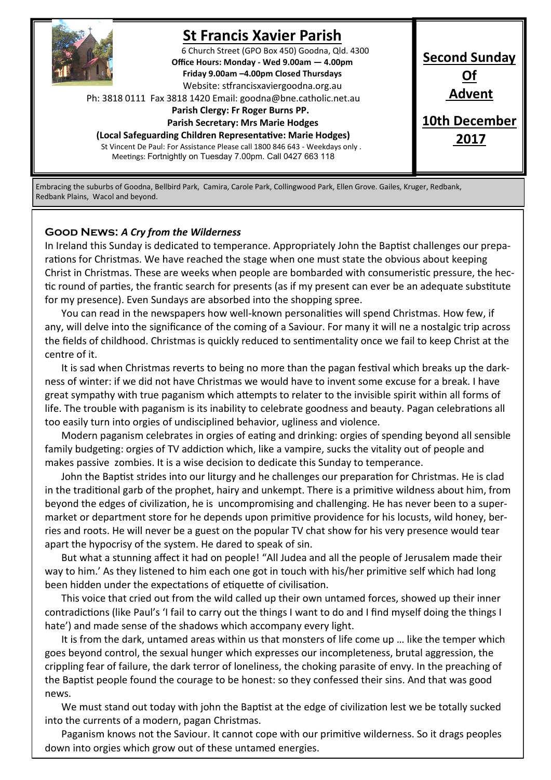

## **St Francis Xavier Parish**

6 Church Street (GPO Box 450) Goodna, Qld. 4300 **Office Hours: Monday - Wed 9.00am — 4.00pm Friday 9.00am –4.00pm Closed Thursdays**  Website: stfrancisxaviergoodna.org.au

Ph: 3818 0111 Fax 3818 1420 Email: goodna@bne.catholic.net.au

 **Parish Clergy: Fr Roger Burns PP.** 

 **Parish Secretary: Mrs Marie Hodges (Local Safeguarding Children Representative: Marie Hodges)**

St Vincent De Paul: For Assistance Please call 1800 846 643 - Weekdays only . Meetings: Fortnightly on Tuesday 7.00pm. Call 0427 663 118

**Second Sunday Of Advent 10th December 2017**

Embracing the suburbs of Goodna, Bellbird Park, Camira, Carole Park, Collingwood Park, Ellen Grove. Gailes, Kruger, Redbank, Redbank Plains, Wacol and beyond.

#### **Good News:** *A Cry from the Wilderness*

In Ireland this Sunday is dedicated to temperance. Appropriately John the Baptist challenges our preparations for Christmas. We have reached the stage when one must state the obvious about keeping Christ in Christmas. These are weeks when people are bombarded with consumeristic pressure, the hectic round of parties, the frantic search for presents (as if my present can ever be an adequate substitute for my presence). Even Sundays are absorbed into the shopping spree.

You can read in the newspapers how well-known personalities will spend Christmas. How few, if any, will delve into the significance of the coming of a Saviour. For many it will ne a nostalgic trip across the fields of childhood. Christmas is quickly reduced to sentimentality once we fail to keep Christ at the centre of it.

It is sad when Christmas reverts to being no more than the pagan festival which breaks up the darkness of winter: if we did not have Christmas we would have to invent some excuse for a break. I have great sympathy with true paganism which attempts to relater to the invisible spirit within all forms of life. The trouble with paganism is its inability to celebrate goodness and beauty. Pagan celebrations all too easily turn into orgies of undisciplined behavior, ugliness and violence.

Modern paganism celebrates in orgies of eating and drinking: orgies of spending beyond all sensible family budgeting: orgies of TV addiction which, like a vampire, sucks the vitality out of people and makes passive zombies. It is a wise decision to dedicate this Sunday to temperance.

John the Baptist strides into our liturgy and he challenges our preparation for Christmas. He is clad in the traditional garb of the prophet, hairy and unkempt. There is a primitive wildness about him, from beyond the edges of civilization, he is uncompromising and challenging. He has never been to a supermarket or department store for he depends upon primitive providence for his locusts, wild honey, berries and roots. He will never be a guest on the popular TV chat show for his very presence would tear apart the hypocrisy of the system. He dared to speak of sin.

But what a stunning affect it had on people! "All Judea and all the people of Jerusalem made their way to him.' As they listened to him each one got in touch with his/her primitive self which had long been hidden under the expectations of etiquette of civilisation.

This voice that cried out from the wild called up their own untamed forces, showed up their inner contradictions (like Paul's 'I fail to carry out the things I want to do and I find myself doing the things I hate') and made sense of the shadows which accompany every light.

It is from the dark, untamed areas within us that monsters of life come up … like the temper which goes beyond control, the sexual hunger which expresses our incompleteness, brutal aggression, the crippling fear of failure, the dark terror of loneliness, the choking parasite of envy. In the preaching of the Baptist people found the courage to be honest: so they confessed their sins. And that was good news.

We must stand out today with john the Baptist at the edge of civilization lest we be totally sucked into the currents of a modern, pagan Christmas.

Paganism knows not the Saviour. It cannot cope with our primitive wilderness. So it drags peoples down into orgies which grow out of these untamed energies.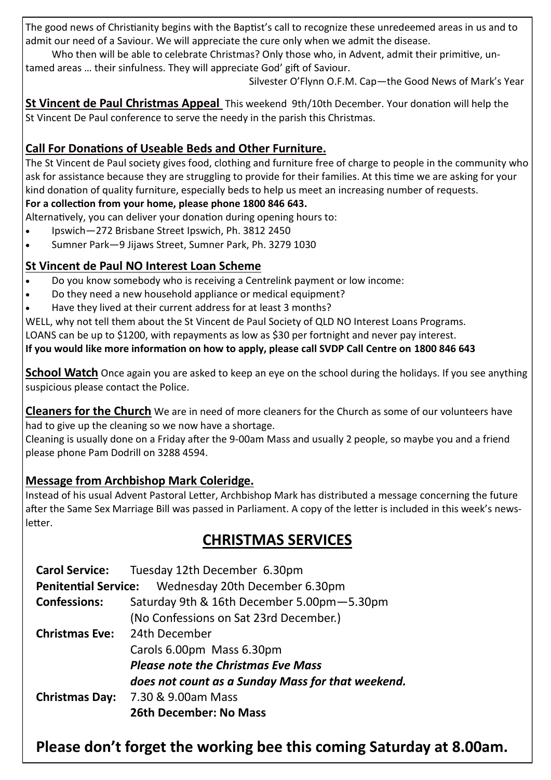The good news of Christianity begins with the Baptist's call to recognize these unredeemed areas in us and to admit our need of a Saviour. We will appreciate the cure only when we admit the disease.

Who then will be able to celebrate Christmas? Only those who, in Advent, admit their primitive, untamed areas … their sinfulness. They will appreciate God' gift of Saviour.

Silvester O'Flynn O.F.M. Cap—the Good News of Mark's Year

**St Vincent de Paul Christmas Appeal** This weekend 9th/10th December. Your donation will help the St Vincent De Paul conference to serve the needy in the parish this Christmas.

### **Call For Donations of Useable Beds and Other Furniture.**

The St Vincent de Paul society gives food, clothing and furniture free of charge to people in the community who ask for assistance because they are struggling to provide for their families. At this time we are asking for your kind donation of quality furniture, especially beds to help us meet an increasing number of requests.

#### **For a collection from your home, please phone 1800 846 643.**

Alternatively, you can deliver your donation during opening hours to:

- Ipswich—272 Brisbane Street Ipswich, Ph. 3812 2450
- Sumner Park—9 Jijaws Street, Sumner Park, Ph. 3279 1030

### **St Vincent de Paul NO Interest Loan Scheme**

- Do you know somebody who is receiving a Centrelink payment or low income:
- Do they need a new household appliance or medical equipment?
- Have they lived at their current address for at least 3 months?

WELL, why not tell them about the St Vincent de Paul Society of QLD NO Interest Loans Programs.

LOANS can be up to \$1200, with repayments as low as \$30 per fortnight and never pay interest.

#### **If you would like more information on how to apply, please call SVDP Call Centre on 1800 846 643**

**School Watch** Once again you are asked to keep an eye on the school during the holidays. If you see anything suspicious please contact the Police.

**Cleaners for the Church** We are in need of more cleaners for the Church as some of our volunteers have had to give up the cleaning so we now have a shortage.

Cleaning is usually done on a Friday after the 9-00am Mass and usually 2 people, so maybe you and a friend please phone Pam Dodrill on 3288 4594.

### **Message from Archbishop Mark Coleridge.**

Instead of his usual Advent Pastoral Letter, Archbishop Mark has distributed a message concerning the future after the Same Sex Marriage Bill was passed in Parliament. A copy of the letter is included in this week's newsletter.

### **CHRISTMAS SERVICES**

| <b>Carol Service:</b>                                      | Tuesday 12th December 6.30pm                      |
|------------------------------------------------------------|---------------------------------------------------|
| <b>Penitential Service:</b> Wednesday 20th December 6.30pm |                                                   |
| <b>Confessions:</b>                                        | Saturday 9th & 16th December 5.00pm-5.30pm        |
|                                                            | (No Confessions on Sat 23rd December.)            |
| <b>Christmas Eve:</b>                                      | 24th December                                     |
|                                                            | Carols 6.00pm Mass 6.30pm                         |
|                                                            | <b>Please note the Christmas Eve Mass</b>         |
|                                                            | does not count as a Sunday Mass for that weekend. |
| <b>Christmas Day:</b>                                      | 7.30 & 9.00am Mass                                |
|                                                            | <b>26th December: No Mass</b>                     |

## **Please don't forget the working bee this coming Saturday at 8.00am.**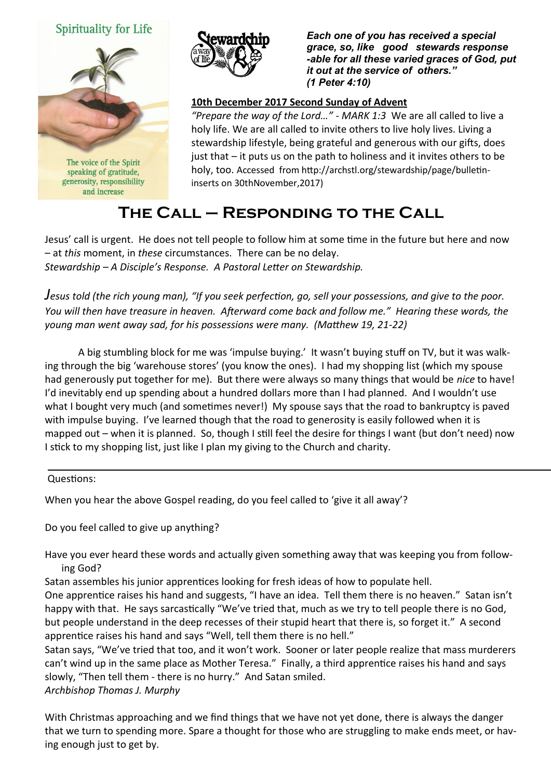



speaking of gratitude, generosity, responsibility and increase



*Each one of you has received a special grace, so, like good stewards response -able for all these varied graces of God, put it out at the service of others." (1 Peter 4:10)* 

#### **10th December 2017 Second Sunday of Advent**

*"Prepare the way of the Lord…" - MARK 1:3* We are all called to live a holy life. We are all called to invite others to live holy lives. Living a stewardship lifestyle, being grateful and generous with our gifts, does just that – it puts us on the path to holiness and it invites others to be holy, too. Accessed from http://archstl.org/stewardship/page/bulletininserts on 30thNovember,2017)

# **The Call – Responding to the Call**

Jesus' call is urgent. He does not tell people to follow him at some time in the future but here and now – at *this* moment, in *these* circumstances. There can be no delay. *Stewardship – A Disciple's Response. A Pastoral Letter on Stewardship.*

*Jesus told (the rich young man), "If you seek perfection, go, sell your possessions, and give to the poor. You will then have treasure in heaven. Afterward come back and follow me." Hearing these words, the young man went away sad, for his possessions were many. (Matthew 19, 21-22)* 

A big stumbling block for me was 'impulse buying.' It wasn't buying stuff on TV, but it was walking through the big 'warehouse stores' (you know the ones). I had my shopping list (which my spouse had generously put together for me). But there were always so many things that would be *nice* to have! I'd inevitably end up spending about a hundred dollars more than I had planned. And I wouldn't use what I bought very much (and sometimes never!) My spouse says that the road to bankruptcy is paved with impulse buying. I've learned though that the road to generosity is easily followed when it is mapped out – when it is planned. So, though I still feel the desire for things I want (but don't need) now I stick to my shopping list, just like I plan my giving to the Church and charity.

#### Questions:

When you hear the above Gospel reading, do you feel called to 'give it all away'?

Do you feel called to give up anything?

Have you ever heard these words and actually given something away that was keeping you from following God?

Satan assembles his junior apprentices looking for fresh ideas of how to populate hell.

One apprentice raises his hand and suggests, "I have an idea. Tell them there is no heaven." Satan isn't happy with that. He says sarcastically "We've tried that, much as we try to tell people there is no God, but people understand in the deep recesses of their stupid heart that there is, so forget it." A second apprentice raises his hand and says "Well, tell them there is no hell."

Satan says, "We've tried that too, and it won't work. Sooner or later people realize that mass murderers can't wind up in the same place as Mother Teresa." Finally, a third apprentice raises his hand and says slowly, "Then tell them - there is no hurry." And Satan smiled. *Archbishop Thomas J. Murphy*

With Christmas approaching and we find things that we have not yet done, there is always the danger that we turn to spending more. Spare a thought for those who are struggling to make ends meet, or having enough just to get by.